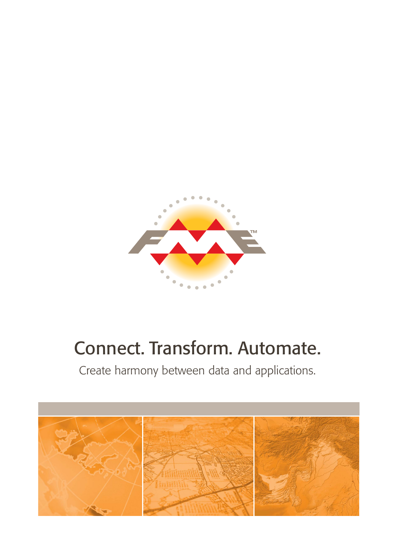

# Connect. Transform. Automate.

Create harmony between data and applications.

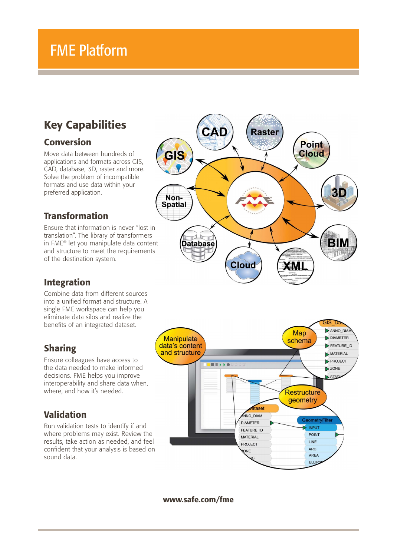## FME Platform

## Key Capabilities

#### Conversion

Move data between hundreds of applications and formats across GIS, CAD, database, 3D, raster and more. Solve the problem of incompatible formats and use data within your preferred application.

#### Transformation

Ensure that information is never "lost in translation". The library of transformers in FME® let you manipulate data content and structure to meet the requirements of the destination system.

#### Integration

Combine data from different sources into a unified format and structure. A single FME workspace can help you eliminate data silos and realize the benefits of an integrated dataset.

### Sharing

Ensure colleagues have access to the data needed to make informed decisions. FME helps you improve interoperability and share data when, where, and how it's needed.

#### Validation

Run validation tests to identify if and where problems may exist. Review the results, take action as needed, and feel confident that your analysis is based on sound data.





www.safe.com/fme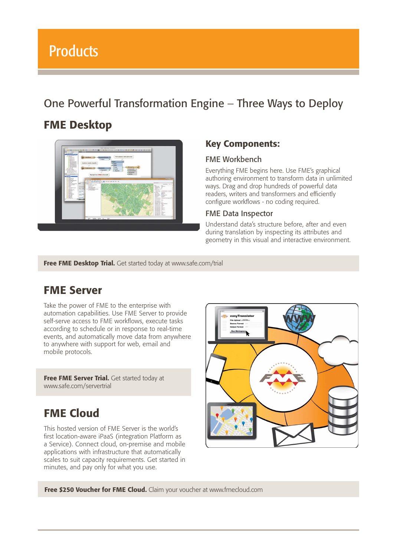## One Powerful Transformation Engine – Three Ways to Deploy

## FME Desktop



#### Key Components:

#### FME Workbench

Everything FME begins here. Use FME's graphical authoring environment to transform data in unlimited ways. Drag and drop hundreds of powerful data readers, writers and transformers and efficiently configure workflows - no coding required.

#### FME Data Inspector

Understand data's structure before, after and even during translation by inspecting its attributes and geometry in this visual and interactive environment.

Free FME Desktop Trial. Get started today at www.safe.com/trial

## FME Server

Take the power of FME to the enterprise with automation capabilities. Use FME Server to provide self-serve access to FME workflows, execute tasks according to schedule or in response to real-time events, and automatically move data from anywhere to anywhere with support for web, email and mobile protocols.

Free FME Server Trial. Get started today at www.safe.com/servertrial

## FME Cloud

This hosted version of FME Server is the world's first location-aware iPaaS (integration Platform as a Service). Connect cloud, on-premise and mobile applications with infrastructure that automatically scales to suit capacity requirements. Get started in minutes, and pay only for what you use.



Free \$250 Voucher for FME Cloud. Claim your voucher at www.fmecloud.com